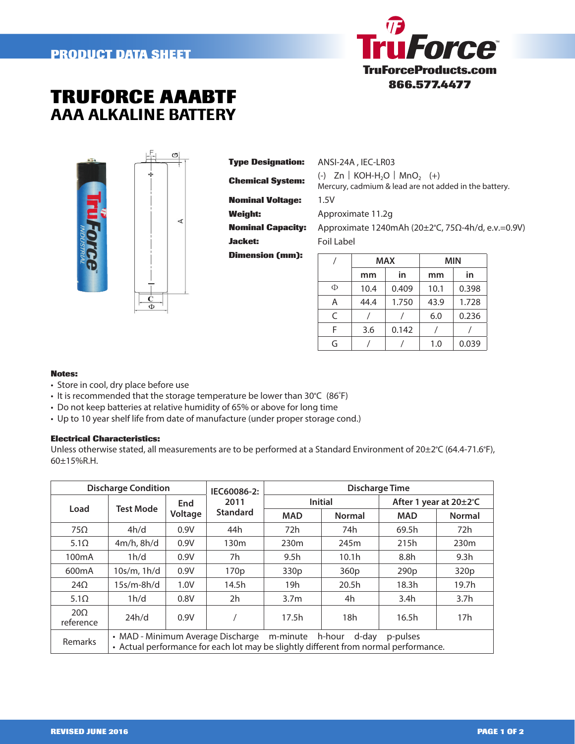## **PRODUCT DATA SHEET**



## **TRUFORCE AAABTF** AAA ALKALINE BATTERY



| <b>Type Designation:</b> |
|--------------------------|
| <b>Chemical System:</b>  |
| <b>Nominal Voltage:</b>  |
| Weight:                  |
| <b>Nominal Capacity:</b> |
| <b>Jacket:</b>           |
| <b>Dimension (mm):</b>   |

**Type Designation:** ANSI-24A , IEC-LR03 **Chemical System:** (-) Zn︱KOH-H2O︱MnO2 (+) Mercury, cadmium & lead are not added in the battery. **Nominal Voltage:** 1.5V

**Weight:** Approximate 11.2g

**Nominal Capacity:** Approximate 1240mAh (20±2°C, 75Ω-4h/d, e.v.=0.9V) **Jacket:** Foil Label

|   |      | <b>MAX</b> | MIN  |       |  |
|---|------|------------|------|-------|--|
|   | mm   | in         | mm   | in    |  |
| Φ | 10.4 | 0.409      | 10.1 | 0.398 |  |
| Α | 44.4 | 1.750      | 43.9 | 1.728 |  |
| C |      |            | 6.0  | 0.236 |  |
| F | 3.6  | 0.142      |      |       |  |
| G |      |            | 1.0  | 0.039 |  |

## **Notes:**

• Store in cool, dry place before use

• It is recommended that the storage temperature be lower than 30°C (86°F)

• Do not keep batteries at relative humidity of 65% or above for long time

∢

• Up to 10 year shelf life from date of manufacture (under proper storage cond.)

## **Electrical Characteristics:**

Unless otherwise stated, all measurements are to be performed at a Standard Environment of 20±2°C (64.4-71.6°F), 60±15%R.H.

| <b>Discharge Condition</b> |                                                                                                                                                                   |                       | IEC60086-2:             | <b>Discharge Time</b> |                   |                        |                  |  |
|----------------------------|-------------------------------------------------------------------------------------------------------------------------------------------------------------------|-----------------------|-------------------------|-----------------------|-------------------|------------------------|------------------|--|
|                            | <b>Test Mode</b>                                                                                                                                                  | <b>End</b><br>Voltage | 2011<br><b>Standard</b> | <b>Initial</b>        |                   | After 1 year at 20±2°C |                  |  |
| Load                       |                                                                                                                                                                   |                       |                         | <b>MAD</b>            | <b>Normal</b>     | <b>MAD</b>             | <b>Normal</b>    |  |
| $75\Omega$                 | 4h/d                                                                                                                                                              | 0.9V                  | 44h                     | 72h                   | 74h               | 69.5h                  | 72h              |  |
| $5.1\Omega$                | $4m/h$ , $8h/d$                                                                                                                                                   | 0.9V                  | 130m                    | 230 <sub>m</sub>      | 245m              | 215h                   | 230 <sub>m</sub> |  |
| 100 <sub>m</sub> A         | 1h/d                                                                                                                                                              | 0.9V                  | 7h.                     | 9.5 <sub>h</sub>      | 10.1 <sub>h</sub> | 8.8h                   | 9.3 <sub>h</sub> |  |
| 600 <sub>m</sub> A         | 10s/m, 1h/d                                                                                                                                                       | 0.9V                  | 170 <sub>p</sub>        | 330 <sub>p</sub>      | 360p              | 290 <sub>p</sub>       | 320 <sub>p</sub> |  |
| $24\Omega$                 | $15s/m-8h/d$                                                                                                                                                      | 1.0V                  | 14.5h                   | 19h                   | 20.5 <sub>h</sub> | 18.3 <sub>h</sub>      | 19.7h            |  |
| $5.1\Omega$                | 1h/d                                                                                                                                                              | 0.8V                  | 2h                      | 3.7 <sub>m</sub>      | 4h                | 3.4 <sub>h</sub>       | 3.7 <sub>h</sub> |  |
| $20\Omega$<br>reference    | 24h/d                                                                                                                                                             | 0.9V                  |                         | 17.5 <sub>h</sub>     | 18h               | 16.5h                  | 17 <sub>h</sub>  |  |
| Remarks                    | • MAD - Minimum Average Discharge<br>m-minute h-hour<br>d-day<br>p-pulses<br>• Actual performance for each lot may be slightly different from normal performance. |                       |                         |                       |                   |                        |                  |  |